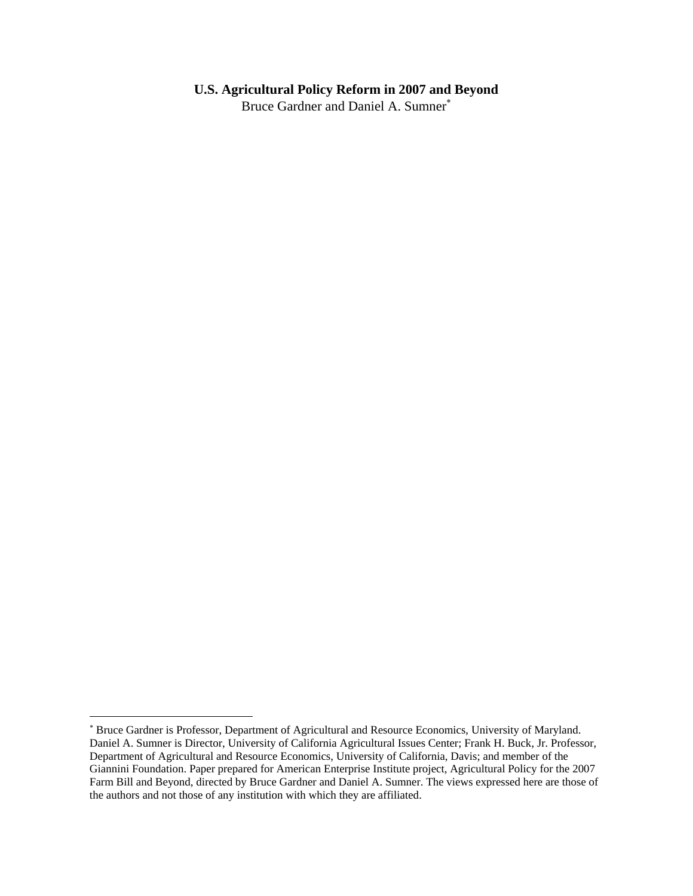# **U.S. Agricultural Policy Reform in 2007 and Beyond**

Bruce Gardner and Daniel A. Sumner<sup>\*</sup>

<span id="page-0-0"></span><sup>∗</sup> Bruce Gardner is Professor, Department of Agricultural and Resource Economics, University of Maryland. Daniel A. Sumner is Director, University of California Agricultural Issues Center; Frank H. Buck, Jr. Professor, Department of Agricultural and Resource Economics, University of California, Davis; and member of the Giannini Foundation. Paper prepared for American Enterprise Institute project, Agricultural Policy for the 2007 Farm Bill and Beyond, directed by Bruce Gardner and Daniel A. Sumner. The views expressed here are those of the authors and not those of any institution with which they are affiliated.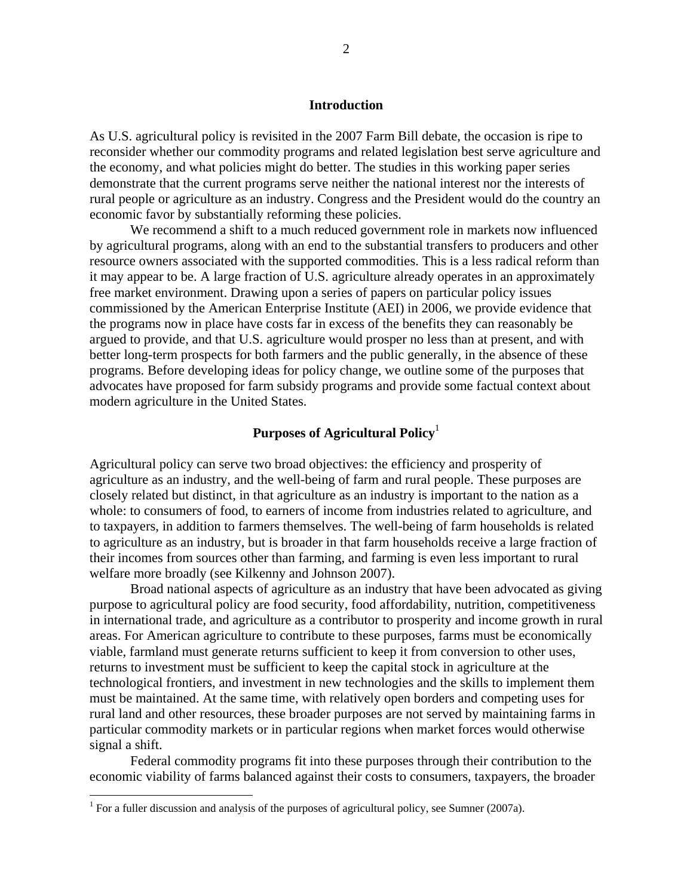## **Introduction**

As U.S. agricultural policy is revisited in the 2007 Farm Bill debate, the occasion is ripe to reconsider whether our commodity programs and related legislation best serve agriculture and the economy, and what policies might do better. The studies in this working paper series demonstrate that the current programs serve neither the national interest nor the interests of rural people or agriculture as an industry. Congress and the President would do the country an economic favor by substantially reforming these policies.

We recommend a shift to a much reduced government role in markets now influenced by agricultural programs, along with an end to the substantial transfers to producers and other resource owners associated with the supported commodities. This is a less radical reform than it may appear to be. A large fraction of U.S. agriculture already operates in an approximately free market environment. Drawing upon a series of papers on particular policy issues commissioned by the American Enterprise Institute (AEI) in 2006, we provide evidence that the programs now in place have costs far in excess of the benefits they can reasonably be argued to provide, and that U.S. agriculture would prosper no less than at present, and with better long-term prospects for both farmers and the public generally, in the absence of these programs. Before developing ideas for policy change, we outline some of the purposes that advocates have proposed for farm subsidy programs and provide some factual context about modern agriculture in the United States.

# **Purposes of Agricultural Policy**[1](#page-1-0)

Agricultural policy can serve two broad objectives: the efficiency and prosperity of agriculture as an industry, and the well-being of farm and rural people. These purposes are closely related but distinct, in that agriculture as an industry is important to the nation as a whole: to consumers of food, to earners of income from industries related to agriculture, and to taxpayers, in addition to farmers themselves. The well-being of farm households is related to agriculture as an industry, but is broader in that farm households receive a large fraction of their incomes from sources other than farming, and farming is even less important to rural welfare more broadly (see Kilkenny and Johnson 2007).

Broad national aspects of agriculture as an industry that have been advocated as giving purpose to agricultural policy are food security, food affordability, nutrition, competitiveness in international trade, and agriculture as a contributor to prosperity and income growth in rural areas. For American agriculture to contribute to these purposes, farms must be economically viable, farmland must generate returns sufficient to keep it from conversion to other uses, returns to investment must be sufficient to keep the capital stock in agriculture at the technological frontiers, and investment in new technologies and the skills to implement them must be maintained. At the same time, with relatively open borders and competing uses for rural land and other resources, these broader purposes are not served by maintaining farms in particular commodity markets or in particular regions when market forces would otherwise signal a shift.

Federal commodity programs fit into these purposes through their contribution to the economic viability of farms balanced against their costs to consumers, taxpayers, the broader

<span id="page-1-0"></span><sup>&</sup>lt;sup>1</sup> For a fuller discussion and analysis of the purposes of agricultural policy, see Sumner (2007a).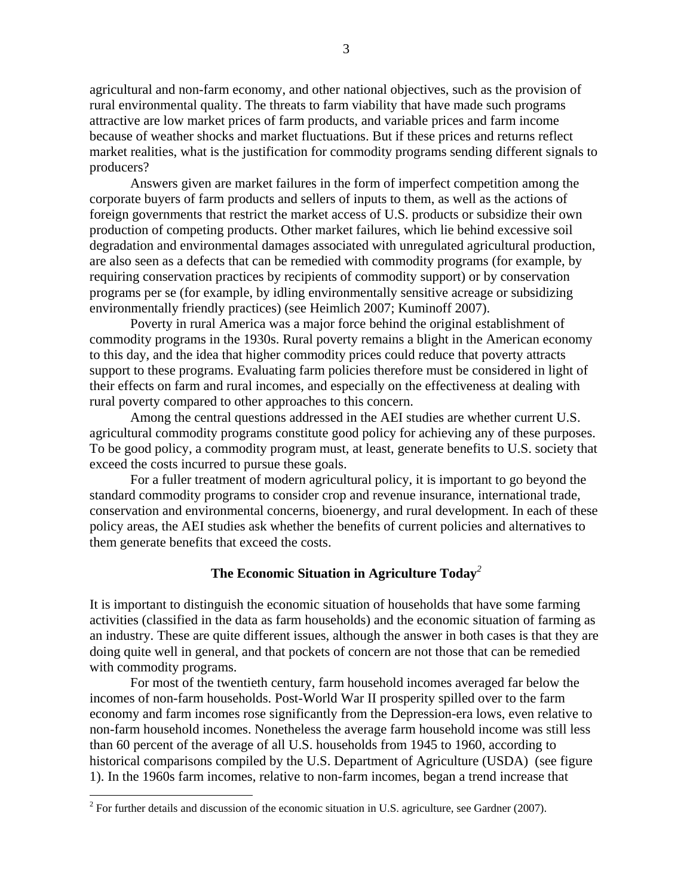agricultural and non-farm economy, and other national objectives, such as the provision of rural environmental quality. The threats to farm viability that have made such programs attractive are low market prices of farm products, and variable prices and farm income because of weather shocks and market fluctuations. But if these prices and returns reflect market realities, what is the justification for commodity programs sending different signals to producers?

Answers given are market failures in the form of imperfect competition among the corporate buyers of farm products and sellers of inputs to them, as well as the actions of foreign governments that restrict the market access of U.S. products or subsidize their own production of competing products. Other market failures, which lie behind excessive soil degradation and environmental damages associated with unregulated agricultural production, are also seen as a defects that can be remedied with commodity programs (for example, by requiring conservation practices by recipients of commodity support) or by conservation programs per se (for example, by idling environmentally sensitive acreage or subsidizing environmentally friendly practices) (see Heimlich 2007; Kuminoff 2007).

Poverty in rural America was a major force behind the original establishment of commodity programs in the 1930s. Rural poverty remains a blight in the American economy to this day, and the idea that higher commodity prices could reduce that poverty attracts support to these programs. Evaluating farm policies therefore must be considered in light of their effects on farm and rural incomes, and especially on the effectiveness at dealing with rural poverty compared to other approaches to this concern.

Among the central questions addressed in the AEI studies are whether current U.S. agricultural commodity programs constitute good policy for achieving any of these purposes. To be good policy, a commodity program must, at least, generate benefits to U.S. society that exceed the costs incurred to pursue these goals.

For a fuller treatment of modern agricultural policy, it is important to go beyond the standard commodity programs to consider crop and revenue insurance, international trade, conservation and environmental concerns, bioenergy, and rural development. In each of these policy areas, the AEI studies ask whether the benefits of current policies and alternatives to them generate benefits that exceed the costs.

## **The Economic Situation in Agriculture Today***[2](#page-2-0)*

It is important to distinguish the economic situation of households that have some farming activities (classified in the data as farm households) and the economic situation of farming as an industry. These are quite different issues, although the answer in both cases is that they are doing quite well in general, and that pockets of concern are not those that can be remedied with commodity programs.

For most of the twentieth century, farm household incomes averaged far below the incomes of non-farm households. Post-World War II prosperity spilled over to the farm economy and farm incomes rose significantly from the Depression-era lows, even relative to non-farm household incomes. Nonetheless the average farm household income was still less than 60 percent of the average of all U.S. households from 1945 to 1960, according to historical comparisons compiled by the U.S. Department of Agriculture (USDA) (see figure 1). In the 1960s farm incomes, relative to non-farm incomes, began a trend increase that

<span id="page-2-0"></span> $2^2$  For further details and discussion of the economic situation in U.S. agriculture, see Gardner (2007).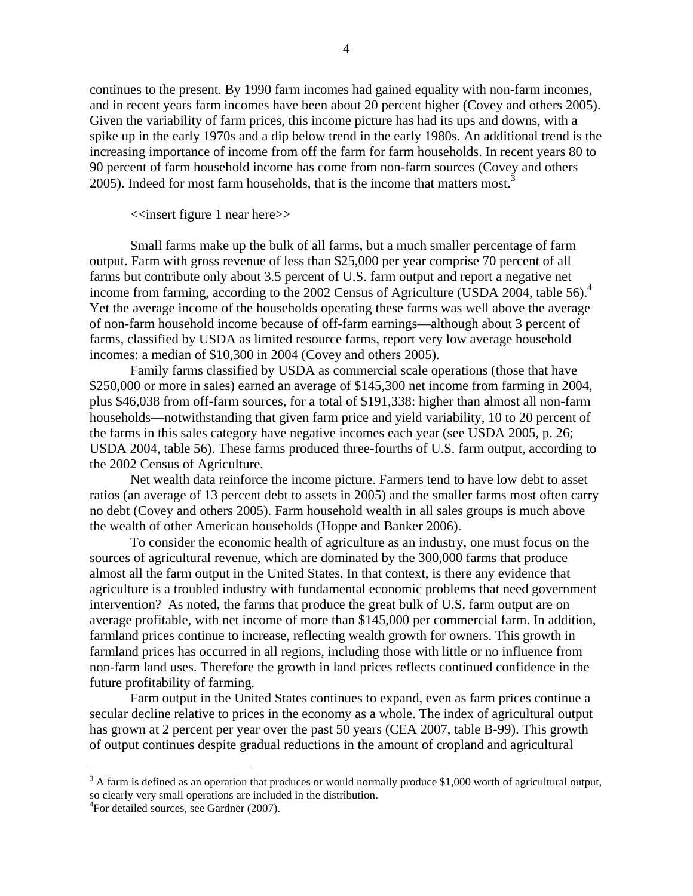continues to the present. By 1990 farm incomes had gained equality with non-farm incomes, and in recent years farm incomes have been about 20 percent higher (Covey and others 2005). Given the variability of farm prices, this income picture has had its ups and downs, with a spike up in the early 1970s and a dip below trend in the early 1980s. An additional trend is the increasing importance of income from off the farm for farm households. In recent years 80 to 90 percent of farm household income has come from non-farm sources (Covey and others 2005).Indeed for most farm households, that is the income that matters most.<sup>3</sup>

<<insert figure 1 near here>>

Small farms make up the bulk of all farms, but a much smaller percentage of farm output. Farm with gross revenue of less than \$25,000 per year comprise 70 percent of all farms but contribute only about 3.5 percent of U.S. farm output and report a negative net income from farming, according to the 2002 Census of Agriculture (USDA 200[4](#page-3-1), table 56).<sup>4</sup> Yet the average income of the households operating these farms was well above the average of non-farm household income because of off-farm earnings—although about 3 percent of farms, classified by USDA as limited resource farms, report very low average household incomes: a median of \$10,300 in 2004 (Covey and others 2005).

Family farms classified by USDA as commercial scale operations (those that have \$250,000 or more in sales) earned an average of \$145,300 net income from farming in 2004, plus \$46,038 from off-farm sources, for a total of \$191,338: higher than almost all non-farm households—notwithstanding that given farm price and yield variability, 10 to 20 percent of the farms in this sales category have negative incomes each year (see USDA 2005, p. 26; USDA 2004, table 56). These farms produced three-fourths of U.S. farm output, according to the 2002 Census of Agriculture.

Net wealth data reinforce the income picture. Farmers tend to have low debt to asset ratios (an average of 13 percent debt to assets in 2005) and the smaller farms most often carry no debt (Covey and others 2005). Farm household wealth in all sales groups is much above the wealth of other American households (Hoppe and Banker 2006).

To consider the economic health of agriculture as an industry, one must focus on the sources of agricultural revenue, which are dominated by the 300,000 farms that produce almost all the farm output in the United States. In that context, is there any evidence that agriculture is a troubled industry with fundamental economic problems that need government intervention? As noted, the farms that produce the great bulk of U.S. farm output are on average profitable, with net income of more than \$145,000 per commercial farm. In addition, farmland prices continue to increase, reflecting wealth growth for owners. This growth in farmland prices has occurred in all regions, including those with little or no influence from non-farm land uses. Therefore the growth in land prices reflects continued confidence in the future profitability of farming.

Farm output in the United States continues to expand, even as farm prices continue a secular decline relative to prices in the economy as a whole. The index of agricultural output has grown at 2 percent per year over the past 50 years (CEA 2007, table B-99). This growth of output continues despite gradual reductions in the amount of cropland and agricultural

<span id="page-3-0"></span> $3 \text{ A farm}$  is defined as an operation that produces or would normally produce \$1,000 worth of agricultural output, so clearly very small operations are included in the distribution.

<span id="page-3-1"></span><sup>4</sup> For detailed sources, see Gardner (2007).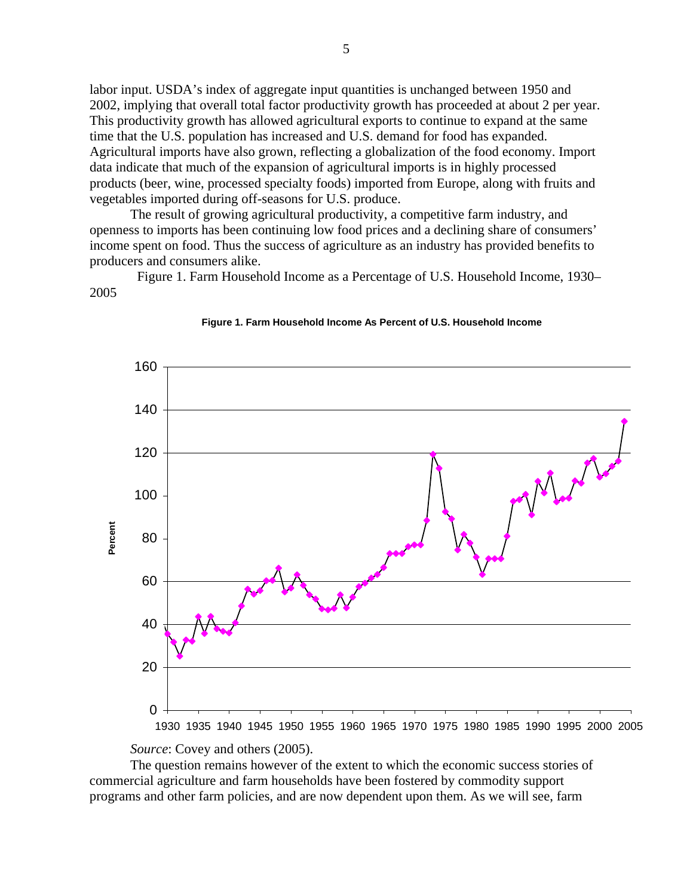labor input. USDA's index of aggregate input quantities is unchanged between 1950 and 2002, implying that overall total factor productivity growth has proceeded at about 2 per year. This productivity growth has allowed agricultural exports to continue to expand at the same time that the U.S. population has increased and U.S. demand for food has expanded. Agricultural imports have also grown, reflecting a globalization of the food economy. Import data indicate that much of the expansion of agricultural imports is in highly processed products (beer, wine, processed specialty foods) imported from Europe, along with fruits and vegetables imported during off-seasons for U.S. produce.

The result of growing agricultural productivity, a competitive farm industry, and openness to imports has been continuing low food prices and a declining share of consumers' income spent on food. Thus the success of agriculture as an industry has provided benefits to producers and consumers alike.

 Figure 1. Farm Household Income as a Percentage of U.S. Household Income, 1930– 2005





*Source*: Covey and others (2005).

The question remains however of the extent to which the economic success stories of commercial agriculture and farm households have been fostered by commodity support programs and other farm policies, and are now dependent upon them. As we will see, farm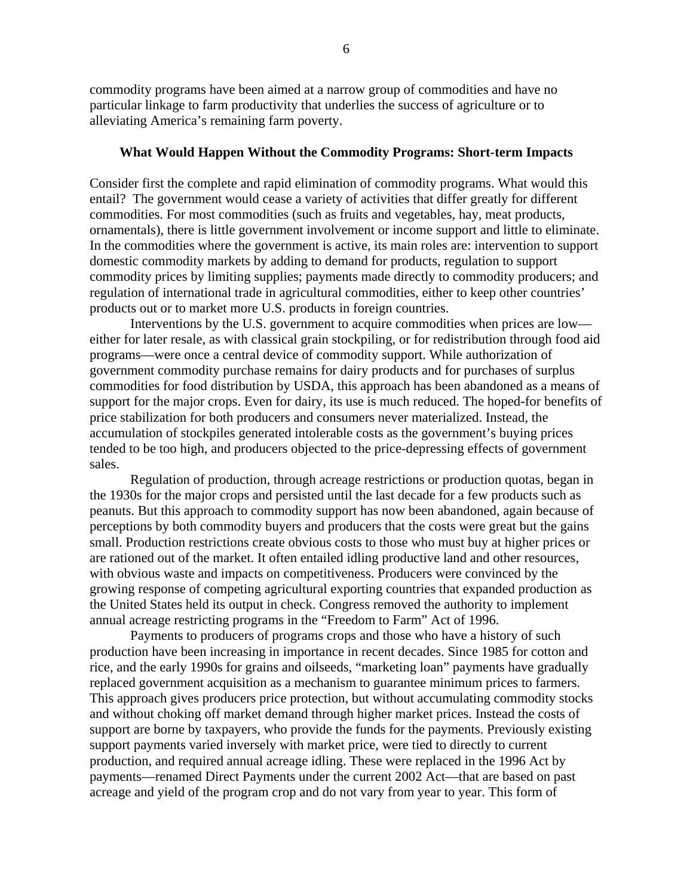commodity programs have been aimed at a narrow group of commodities and have no particular linkage to farm productivity that underlies the success of agriculture or to alleviating America's remaining farm poverty.

#### **What Would Happen Without the Commodity Programs: Short-term Impacts**

Consider first the complete and rapid elimination of commodity programs. What would this entail? The government would cease a variety of activities that differ greatly for different commodities. For most commodities (such as fruits and vegetables, hay, meat products, ornamentals), there is little government involvement or income support and little to eliminate. In the commodities where the government is active, its main roles are: intervention to support domestic commodity markets by adding to demand for products, regulation to support commodity prices by limiting supplies; payments made directly to commodity producers; and regulation of international trade in agricultural commodities, either to keep other countries' products out or to market more U.S. products in foreign countries.

Interventions by the U.S. government to acquire commodities when prices are low either for later resale, as with classical grain stockpiling, or for redistribution through food aid programs—were once a central device of commodity support. While authorization of government commodity purchase remains for dairy products and for purchases of surplus commodities for food distribution by USDA, this approach has been abandoned as a means of support for the major crops. Even for dairy, its use is much reduced. The hoped-for benefits of price stabilization for both producers and consumers never materialized. Instead, the accumulation of stockpiles generated intolerable costs as the government's buying prices tended to be too high, and producers objected to the price-depressing effects of government sales.

Regulation of production, through acreage restrictions or production quotas, began in the 1930s for the major crops and persisted until the last decade for a few products such as peanuts. But this approach to commodity support has now been abandoned, again because of perceptions by both commodity buyers and producers that the costs were great but the gains small. Production restrictions create obvious costs to those who must buy at higher prices or are rationed out of the market. It often entailed idling productive land and other resources, with obvious waste and impacts on competitiveness. Producers were convinced by the growing response of competing agricultural exporting countries that expanded production as the United States held its output in check. Congress removed the authority to implement annual acreage restricting programs in the "Freedom to Farm" Act of 1996.

Payments to producers of programs crops and those who have a history of such production have been increasing in importance in recent decades. Since 1985 for cotton and rice, and the early 1990s for grains and oilseeds, "marketing loan" payments have gradually replaced government acquisition as a mechanism to guarantee minimum prices to farmers. This approach gives producers price protection, but without accumulating commodity stocks and without choking off market demand through higher market prices. Instead the costs of support are borne by taxpayers, who provide the funds for the payments. Previously existing support payments varied inversely with market price, were tied to directly to current production, and required annual acreage idling. These were replaced in the 1996 Act by payments—renamed Direct Payments under the current 2002 Act—that are based on past acreage and yield of the program crop and do not vary from year to year. This form of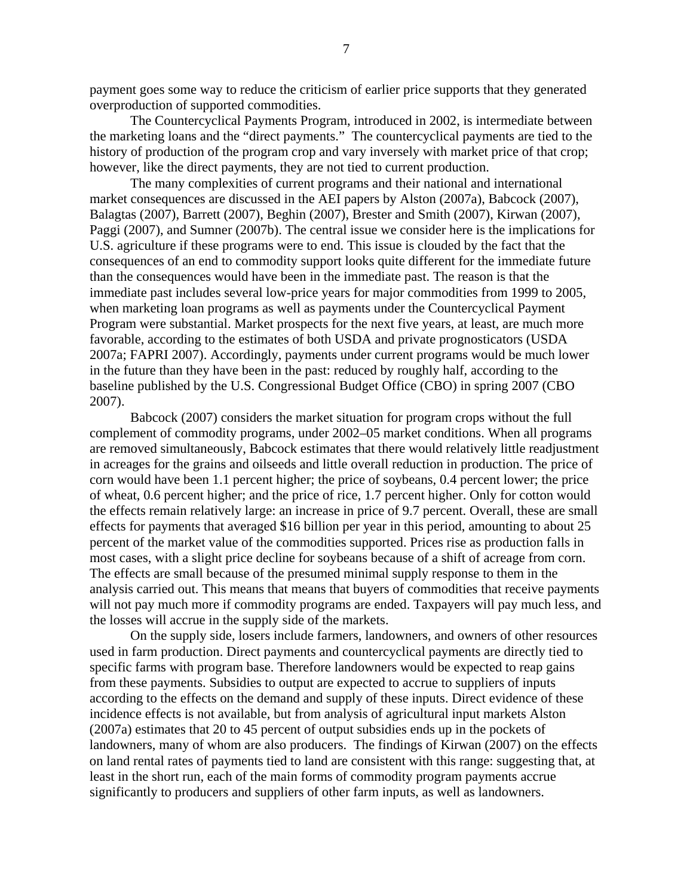payment goes some way to reduce the criticism of earlier price supports that they generated overproduction of supported commodities.

The Countercyclical Payments Program, introduced in 2002, is intermediate between the marketing loans and the "direct payments." The countercyclical payments are tied to the history of production of the program crop and vary inversely with market price of that crop; however, like the direct payments, they are not tied to current production.

The many complexities of current programs and their national and international market consequences are discussed in the AEI papers by Alston (2007a), Babcock (2007), Balagtas (2007), Barrett (2007), Beghin (2007), Brester and Smith (2007), Kirwan (2007), Paggi (2007), and Sumner (2007b). The central issue we consider here is the implications for U.S. agriculture if these programs were to end. This issue is clouded by the fact that the consequences of an end to commodity support looks quite different for the immediate future than the consequences would have been in the immediate past. The reason is that the immediate past includes several low-price years for major commodities from 1999 to 2005, when marketing loan programs as well as payments under the Countercyclical Payment Program were substantial. Market prospects for the next five years, at least, are much more favorable, according to the estimates of both USDA and private prognosticators (USDA 2007a; FAPRI 2007). Accordingly, payments under current programs would be much lower in the future than they have been in the past: reduced by roughly half, according to the baseline published by the U.S. Congressional Budget Office (CBO) in spring 2007 (CBO 2007).

Babcock (2007) considers the market situation for program crops without the full complement of commodity programs, under 2002–05 market conditions. When all programs are removed simultaneously, Babcock estimates that there would relatively little readjustment in acreages for the grains and oilseeds and little overall reduction in production. The price of corn would have been 1.1 percent higher; the price of soybeans, 0.4 percent lower; the price of wheat, 0.6 percent higher; and the price of rice, 1.7 percent higher. Only for cotton would the effects remain relatively large: an increase in price of 9.7 percent. Overall, these are small effects for payments that averaged \$16 billion per year in this period, amounting to about 25 percent of the market value of the commodities supported. Prices rise as production falls in most cases, with a slight price decline for soybeans because of a shift of acreage from corn. The effects are small because of the presumed minimal supply response to them in the analysis carried out. This means that means that buyers of commodities that receive payments will not pay much more if commodity programs are ended. Taxpayers will pay much less, and the losses will accrue in the supply side of the markets.

On the supply side, losers include farmers, landowners, and owners of other resources used in farm production. Direct payments and countercyclical payments are directly tied to specific farms with program base. Therefore landowners would be expected to reap gains from these payments. Subsidies to output are expected to accrue to suppliers of inputs according to the effects on the demand and supply of these inputs. Direct evidence of these incidence effects is not available, but from analysis of agricultural input markets Alston (2007a) estimates that 20 to 45 percent of output subsidies ends up in the pockets of landowners, many of whom are also producers. The findings of Kirwan (2007) on the effects on land rental rates of payments tied to land are consistent with this range: suggesting that, at least in the short run, each of the main forms of commodity program payments accrue significantly to producers and suppliers of other farm inputs, as well as landowners.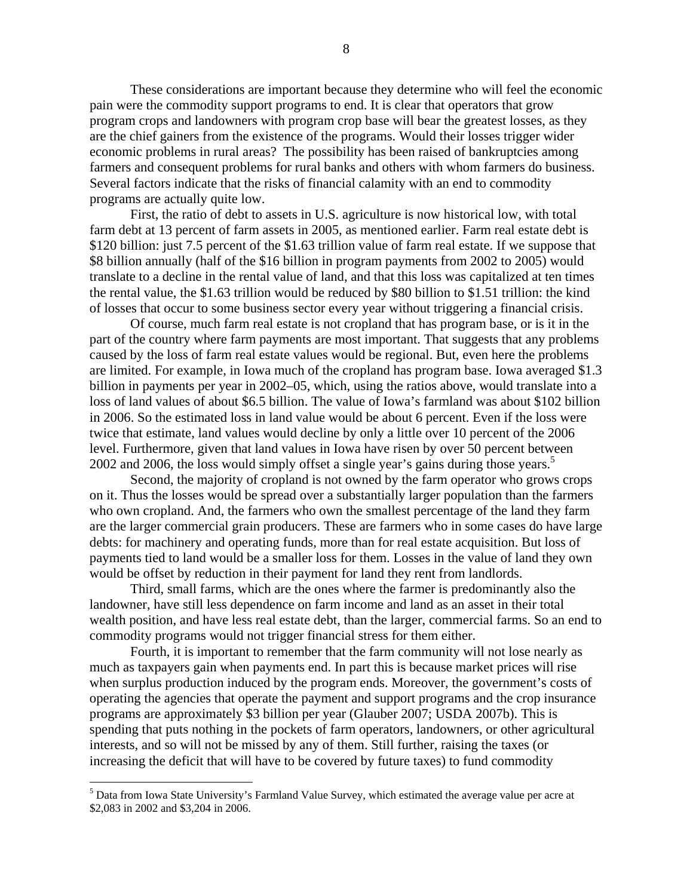These considerations are important because they determine who will feel the economic pain were the commodity support programs to end. It is clear that operators that grow program crops and landowners with program crop base will bear the greatest losses, as they are the chief gainers from the existence of the programs. Would their losses trigger wider economic problems in rural areas? The possibility has been raised of bankruptcies among farmers and consequent problems for rural banks and others with whom farmers do business. Several factors indicate that the risks of financial calamity with an end to commodity programs are actually quite low.

First, the ratio of debt to assets in U.S. agriculture is now historical low, with total farm debt at 13 percent of farm assets in 2005, as mentioned earlier. Farm real estate debt is \$120 billion: just 7.5 percent of the \$1.63 trillion value of farm real estate. If we suppose that \$8 billion annually (half of the \$16 billion in program payments from 2002 to 2005) would translate to a decline in the rental value of land, and that this loss was capitalized at ten times the rental value, the \$1.63 trillion would be reduced by \$80 billion to \$1.51 trillion: the kind of losses that occur to some business sector every year without triggering a financial crisis.

Of course, much farm real estate is not cropland that has program base, or is it in the part of the country where farm payments are most important. That suggests that any problems caused by the loss of farm real estate values would be regional. But, even here the problems are limited. For example, in Iowa much of the cropland has program base. Iowa averaged \$1.3 billion in payments per year in 2002–05, which, using the ratios above, would translate into a loss of land values of about \$6.5 billion. The value of Iowa's farmland was about \$102 billion in 2006. So the estimated loss in land value would be about 6 percent. Even if the loss were twice that estimate, land values would decline by only a little over 10 percent of the 2006 level. Furthermore, given that land values in Iowa have risen by over 50 percent between 2002and 2006, the loss would simply offset a single year's gains during those years.<sup>5</sup>

Second, the majority of cropland is not owned by the farm operator who grows crops on it. Thus the losses would be spread over a substantially larger population than the farmers who own cropland. And, the farmers who own the smallest percentage of the land they farm are the larger commercial grain producers. These are farmers who in some cases do have large debts: for machinery and operating funds, more than for real estate acquisition. But loss of payments tied to land would be a smaller loss for them. Losses in the value of land they own would be offset by reduction in their payment for land they rent from landlords.

Third, small farms, which are the ones where the farmer is predominantly also the landowner, have still less dependence on farm income and land as an asset in their total wealth position, and have less real estate debt, than the larger, commercial farms. So an end to commodity programs would not trigger financial stress for them either.

Fourth, it is important to remember that the farm community will not lose nearly as much as taxpayers gain when payments end. In part this is because market prices will rise when surplus production induced by the program ends. Moreover, the government's costs of operating the agencies that operate the payment and support programs and the crop insurance programs are approximately \$3 billion per year (Glauber 2007; USDA 2007b). This is spending that puts nothing in the pockets of farm operators, landowners, or other agricultural interests, and so will not be missed by any of them. Still further, raising the taxes (or increasing the deficit that will have to be covered by future taxes) to fund commodity

<span id="page-7-0"></span><sup>&</sup>lt;sup>5</sup> Data from Iowa State University's Farmland Value Survey, which estimated the average value per acre at \$2,083 in 2002 and \$3,204 in 2006.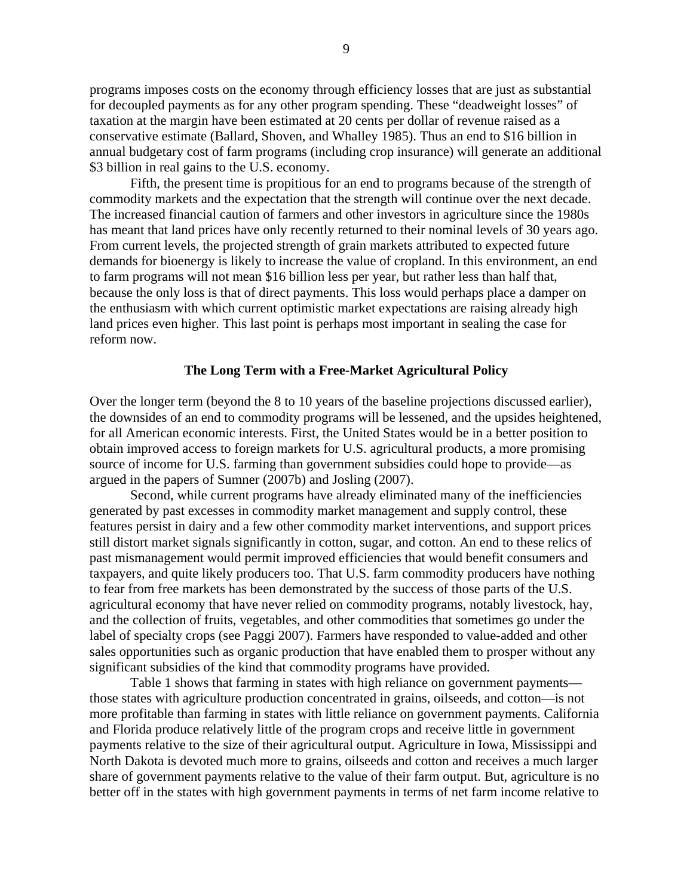programs imposes costs on the economy through efficiency losses that are just as substantial for decoupled payments as for any other program spending. These "deadweight losses" of taxation at the margin have been estimated at 20 cents per dollar of revenue raised as a conservative estimate (Ballard, Shoven, and Whalley 1985). Thus an end to \$16 billion in annual budgetary cost of farm programs (including crop insurance) will generate an additional \$3 billion in real gains to the U.S. economy.

Fifth, the present time is propitious for an end to programs because of the strength of commodity markets and the expectation that the strength will continue over the next decade. The increased financial caution of farmers and other investors in agriculture since the 1980s has meant that land prices have only recently returned to their nominal levels of 30 years ago. From current levels, the projected strength of grain markets attributed to expected future demands for bioenergy is likely to increase the value of cropland. In this environment, an end to farm programs will not mean \$16 billion less per year, but rather less than half that, because the only loss is that of direct payments. This loss would perhaps place a damper on the enthusiasm with which current optimistic market expectations are raising already high land prices even higher. This last point is perhaps most important in sealing the case for reform now.

#### **The Long Term with a Free-Market Agricultural Policy**

Over the longer term (beyond the 8 to 10 years of the baseline projections discussed earlier), the downsides of an end to commodity programs will be lessened, and the upsides heightened, for all American economic interests. First, the United States would be in a better position to obtain improved access to foreign markets for U.S. agricultural products, a more promising source of income for U.S. farming than government subsidies could hope to provide—as argued in the papers of Sumner (2007b) and Josling (2007).

Second, while current programs have already eliminated many of the inefficiencies generated by past excesses in commodity market management and supply control, these features persist in dairy and a few other commodity market interventions, and support prices still distort market signals significantly in cotton, sugar, and cotton. An end to these relics of past mismanagement would permit improved efficiencies that would benefit consumers and taxpayers, and quite likely producers too. That U.S. farm commodity producers have nothing to fear from free markets has been demonstrated by the success of those parts of the U.S. agricultural economy that have never relied on commodity programs, notably livestock, hay, and the collection of fruits, vegetables, and other commodities that sometimes go under the label of specialty crops (see Paggi 2007). Farmers have responded to value-added and other sales opportunities such as organic production that have enabled them to prosper without any significant subsidies of the kind that commodity programs have provided.

Table 1 shows that farming in states with high reliance on government payments those states with agriculture production concentrated in grains, oilseeds, and cotton—is not more profitable than farming in states with little reliance on government payments. California and Florida produce relatively little of the program crops and receive little in government payments relative to the size of their agricultural output. Agriculture in Iowa, Mississippi and North Dakota is devoted much more to grains, oilseeds and cotton and receives a much larger share of government payments relative to the value of their farm output. But, agriculture is no better off in the states with high government payments in terms of net farm income relative to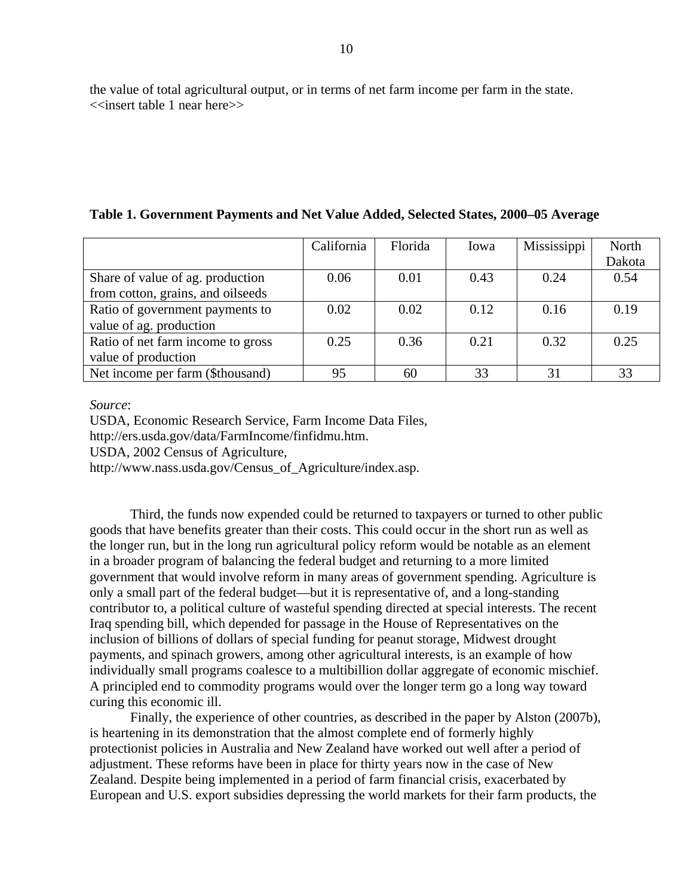the value of total agricultural output, or in terms of net farm income per farm in the state. <<insert table 1 near here>>

|  | Table 1. Government Payments and Net Value Added, Selected States, 2000–05 Average |  |  |  |
|--|------------------------------------------------------------------------------------|--|--|--|
|  |                                                                                    |  |  |  |

|                                   | California | Florida | Iowa | Mississippi | North  |
|-----------------------------------|------------|---------|------|-------------|--------|
|                                   |            |         |      |             | Dakota |
| Share of value of ag. production  | 0.06       | 0.01    | 0.43 | 0.24        | 0.54   |
| from cotton, grains, and oilseeds |            |         |      |             |        |
| Ratio of government payments to   | 0.02       | 0.02    | 0.12 | 0.16        | 0.19   |
| value of ag. production           |            |         |      |             |        |
| Ratio of net farm income to gross | 0.25       | 0.36    | 0.21 | 0.32        | 0.25   |
| value of production               |            |         |      |             |        |
| Net income per farm (\$thousand)  | 95         | 60      | 33   | 31          | 33     |

*Source*:

USDA, Economic Research Service, Farm Income Data Files,

http://ers.usda.gov/data/FarmIncome/finfidmu.htm.

USDA, 2002 Census of Agriculture,

http://www.nass.usda.gov/Census\_of\_Agriculture/index.asp.

Third, the funds now expended could be returned to taxpayers or turned to other public goods that have benefits greater than their costs. This could occur in the short run as well as the longer run, but in the long run agricultural policy reform would be notable as an element in a broader program of balancing the federal budget and returning to a more limited government that would involve reform in many areas of government spending. Agriculture is only a small part of the federal budget—but it is representative of, and a long-standing contributor to, a political culture of wasteful spending directed at special interests. The recent Iraq spending bill, which depended for passage in the House of Representatives on the inclusion of billions of dollars of special funding for peanut storage, Midwest drought payments, and spinach growers, among other agricultural interests, is an example of how individually small programs coalesce to a multibillion dollar aggregate of economic mischief. A principled end to commodity programs would over the longer term go a long way toward curing this economic ill.

Finally, the experience of other countries, as described in the paper by Alston (2007b), is heartening in its demonstration that the almost complete end of formerly highly protectionist policies in Australia and New Zealand have worked out well after a period of adjustment. These reforms have been in place for thirty years now in the case of New Zealand. Despite being implemented in a period of farm financial crisis, exacerbated by European and U.S. export subsidies depressing the world markets for their farm products, the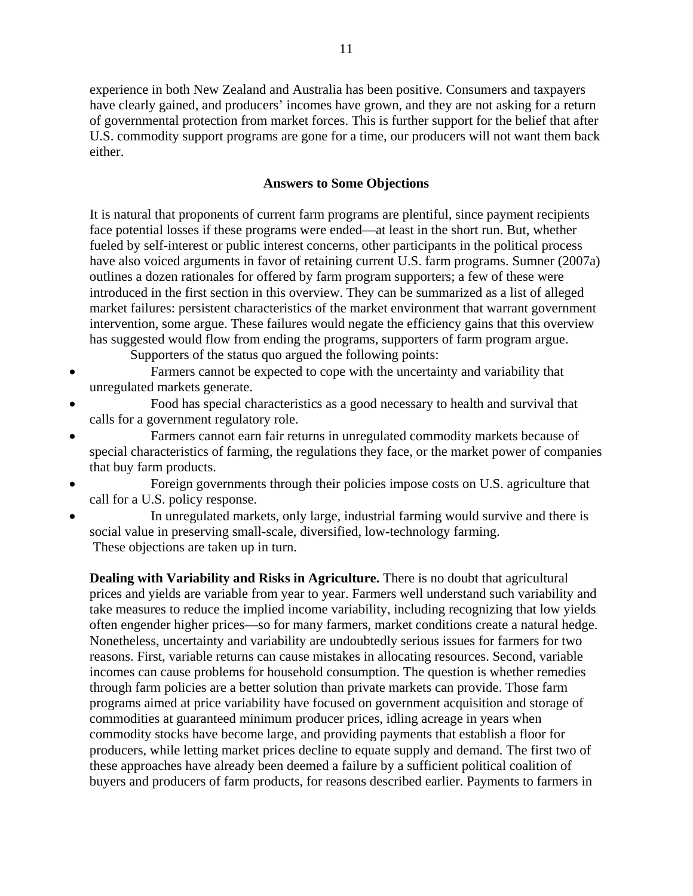experience in both New Zealand and Australia has been positive. Consumers and taxpayers have clearly gained, and producers' incomes have grown, and they are not asking for a return of governmental protection from market forces. This is further support for the belief that after U.S. commodity support programs are gone for a time, our producers will not want them back either.

## **Answers to Some Objections**

It is natural that proponents of current farm programs are plentiful, since payment recipients face potential losses if these programs were ended—at least in the short run. But, whether fueled by self-interest or public interest concerns, other participants in the political process have also voiced arguments in favor of retaining current U.S. farm programs. Sumner (2007a) outlines a dozen rationales for offered by farm program supporters; a few of these were introduced in the first section in this overview. They can be summarized as a list of alleged market failures: persistent characteristics of the market environment that warrant government intervention, some argue. These failures would negate the efficiency gains that this overview has suggested would flow from ending the programs, supporters of farm program argue.

Supporters of the status quo argued the following points:

- Farmers cannot be expected to cope with the uncertainty and variability that unregulated markets generate.
- Food has special characteristics as a good necessary to health and survival that calls for a government regulatory role.
- Farmers cannot earn fair returns in unregulated commodity markets because of special characteristics of farming, the regulations they face, or the market power of companies that buy farm products.
- Foreign governments through their policies impose costs on U.S. agriculture that call for a U.S. policy response.
- In unregulated markets, only large, industrial farming would survive and there is social value in preserving small-scale, diversified, low-technology farming. These objections are taken up in turn.

**Dealing with Variability and Risks in Agriculture.** There is no doubt that agricultural prices and yields are variable from year to year. Farmers well understand such variability and take measures to reduce the implied income variability, including recognizing that low yields often engender higher prices—so for many farmers, market conditions create a natural hedge. Nonetheless, uncertainty and variability are undoubtedly serious issues for farmers for two reasons. First, variable returns can cause mistakes in allocating resources. Second, variable incomes can cause problems for household consumption. The question is whether remedies through farm policies are a better solution than private markets can provide. Those farm programs aimed at price variability have focused on government acquisition and storage of commodities at guaranteed minimum producer prices, idling acreage in years when commodity stocks have become large, and providing payments that establish a floor for producers, while letting market prices decline to equate supply and demand. The first two of these approaches have already been deemed a failure by a sufficient political coalition of buyers and producers of farm products, for reasons described earlier. Payments to farmers in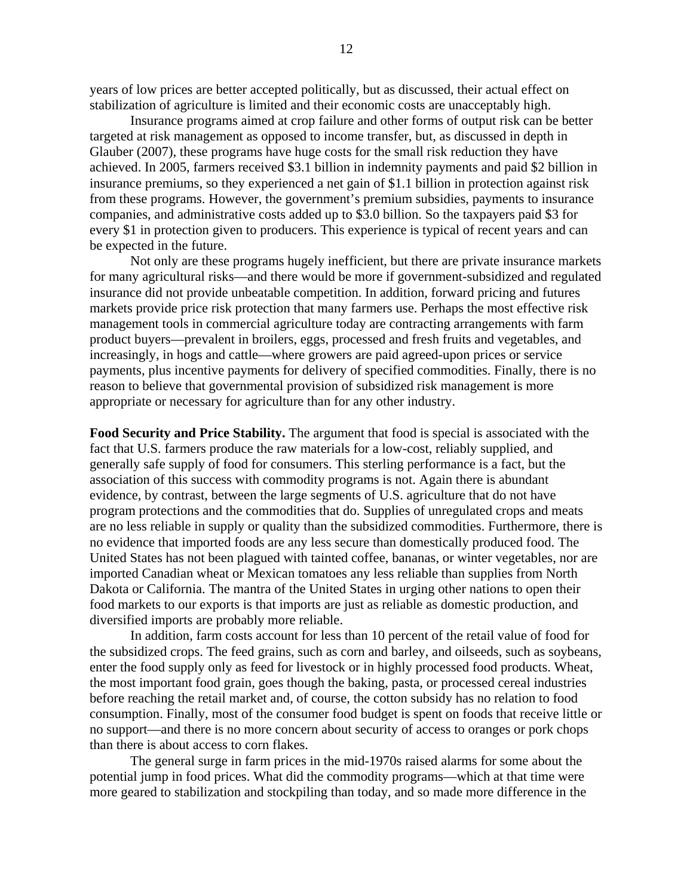years of low prices are better accepted politically, but as discussed, their actual effect on stabilization of agriculture is limited and their economic costs are unacceptably high.

 Insurance programs aimed at crop failure and other forms of output risk can be better targeted at risk management as opposed to income transfer, but, as discussed in depth in Glauber (2007), these programs have huge costs for the small risk reduction they have achieved. In 2005, farmers received \$3.1 billion in indemnity payments and paid \$2 billion in insurance premiums, so they experienced a net gain of \$1.1 billion in protection against risk from these programs. However, the government's premium subsidies, payments to insurance companies, and administrative costs added up to \$3.0 billion. So the taxpayers paid \$3 for every \$1 in protection given to producers. This experience is typical of recent years and can be expected in the future.

 Not only are these programs hugely inefficient, but there are private insurance markets for many agricultural risks—and there would be more if government-subsidized and regulated insurance did not provide unbeatable competition. In addition, forward pricing and futures markets provide price risk protection that many farmers use. Perhaps the most effective risk management tools in commercial agriculture today are contracting arrangements with farm product buyers—prevalent in broilers, eggs, processed and fresh fruits and vegetables, and increasingly, in hogs and cattle—where growers are paid agreed-upon prices or service payments, plus incentive payments for delivery of specified commodities. Finally, there is no reason to believe that governmental provision of subsidized risk management is more appropriate or necessary for agriculture than for any other industry.

**Food Security and Price Stability.** The argument that food is special is associated with the fact that U.S. farmers produce the raw materials for a low-cost, reliably supplied, and generally safe supply of food for consumers. This sterling performance is a fact, but the association of this success with commodity programs is not. Again there is abundant evidence, by contrast, between the large segments of U.S. agriculture that do not have program protections and the commodities that do. Supplies of unregulated crops and meats are no less reliable in supply or quality than the subsidized commodities. Furthermore, there is no evidence that imported foods are any less secure than domestically produced food. The United States has not been plagued with tainted coffee, bananas, or winter vegetables, nor are imported Canadian wheat or Mexican tomatoes any less reliable than supplies from North Dakota or California. The mantra of the United States in urging other nations to open their food markets to our exports is that imports are just as reliable as domestic production, and diversified imports are probably more reliable.

 In addition, farm costs account for less than 10 percent of the retail value of food for the subsidized crops. The feed grains, such as corn and barley, and oilseeds, such as soybeans, enter the food supply only as feed for livestock or in highly processed food products. Wheat, the most important food grain, goes though the baking, pasta, or processed cereal industries before reaching the retail market and, of course, the cotton subsidy has no relation to food consumption. Finally, most of the consumer food budget is spent on foods that receive little or no support—and there is no more concern about security of access to oranges or pork chops than there is about access to corn flakes.

 The general surge in farm prices in the mid-1970s raised alarms for some about the potential jump in food prices. What did the commodity programs—which at that time were more geared to stabilization and stockpiling than today, and so made more difference in the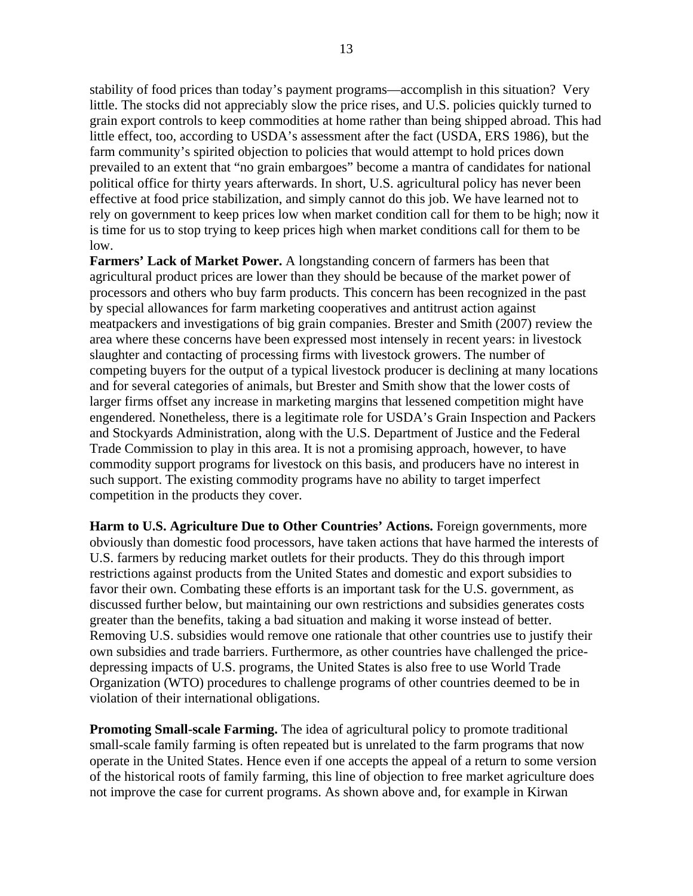stability of food prices than today's payment programs—accomplish in this situation? Very little. The stocks did not appreciably slow the price rises, and U.S. policies quickly turned to grain export controls to keep commodities at home rather than being shipped abroad. This had little effect, too, according to USDA's assessment after the fact (USDA, ERS 1986), but the farm community's spirited objection to policies that would attempt to hold prices down prevailed to an extent that "no grain embargoes" become a mantra of candidates for national political office for thirty years afterwards. In short, U.S. agricultural policy has never been effective at food price stabilization, and simply cannot do this job. We have learned not to rely on government to keep prices low when market condition call for them to be high; now it is time for us to stop trying to keep prices high when market conditions call for them to be low.

**Farmers' Lack of Market Power.** A longstanding concern of farmers has been that agricultural product prices are lower than they should be because of the market power of processors and others who buy farm products. This concern has been recognized in the past by special allowances for farm marketing cooperatives and antitrust action against meatpackers and investigations of big grain companies. Brester and Smith (2007) review the area where these concerns have been expressed most intensely in recent years: in livestock slaughter and contacting of processing firms with livestock growers. The number of competing buyers for the output of a typical livestock producer is declining at many locations and for several categories of animals, but Brester and Smith show that the lower costs of larger firms offset any increase in marketing margins that lessened competition might have engendered. Nonetheless, there is a legitimate role for USDA's Grain Inspection and Packers and Stockyards Administration, along with the U.S. Department of Justice and the Federal Trade Commission to play in this area. It is not a promising approach, however, to have commodity support programs for livestock on this basis, and producers have no interest in such support. The existing commodity programs have no ability to target imperfect competition in the products they cover.

**Harm to U.S. Agriculture Due to Other Countries' Actions.** Foreign governments, more obviously than domestic food processors, have taken actions that have harmed the interests of U.S. farmers by reducing market outlets for their products. They do this through import restrictions against products from the United States and domestic and export subsidies to favor their own. Combating these efforts is an important task for the U.S. government, as discussed further below, but maintaining our own restrictions and subsidies generates costs greater than the benefits, taking a bad situation and making it worse instead of better. Removing U.S. subsidies would remove one rationale that other countries use to justify their own subsidies and trade barriers. Furthermore, as other countries have challenged the pricedepressing impacts of U.S. programs, the United States is also free to use World Trade Organization (WTO) procedures to challenge programs of other countries deemed to be in violation of their international obligations.

**Promoting Small-scale Farming.** The idea of agricultural policy to promote traditional small-scale family farming is often repeated but is unrelated to the farm programs that now operate in the United States. Hence even if one accepts the appeal of a return to some version of the historical roots of family farming, this line of objection to free market agriculture does not improve the case for current programs. As shown above and, for example in Kirwan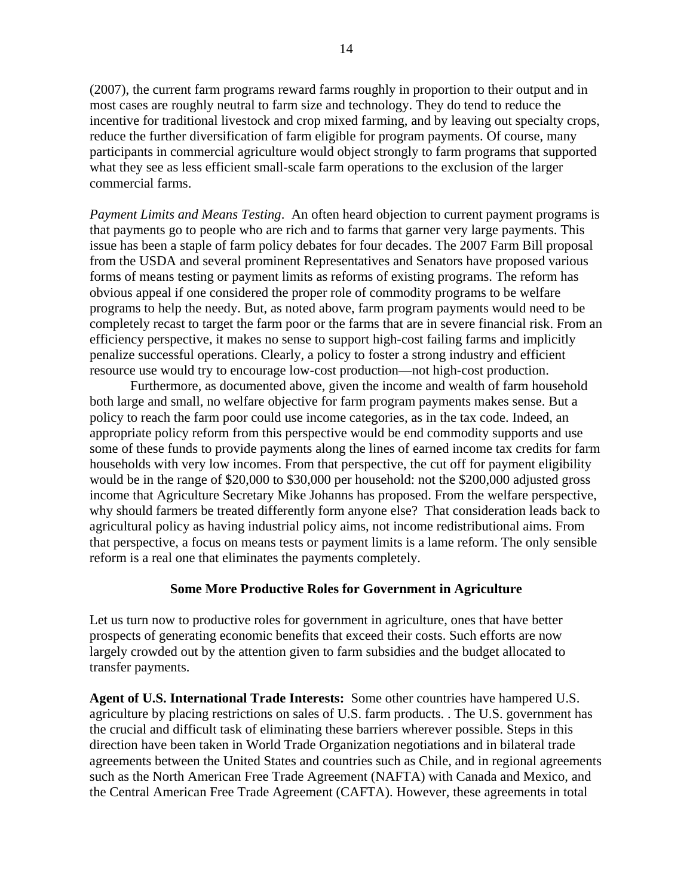(2007), the current farm programs reward farms roughly in proportion to their output and in most cases are roughly neutral to farm size and technology. They do tend to reduce the incentive for traditional livestock and crop mixed farming, and by leaving out specialty crops, reduce the further diversification of farm eligible for program payments. Of course, many participants in commercial agriculture would object strongly to farm programs that supported what they see as less efficient small-scale farm operations to the exclusion of the larger commercial farms.

*Payment Limits and Means Testing*. An often heard objection to current payment programs is that payments go to people who are rich and to farms that garner very large payments. This issue has been a staple of farm policy debates for four decades. The 2007 Farm Bill proposal from the USDA and several prominent Representatives and Senators have proposed various forms of means testing or payment limits as reforms of existing programs. The reform has obvious appeal if one considered the proper role of commodity programs to be welfare programs to help the needy. But, as noted above, farm program payments would need to be completely recast to target the farm poor or the farms that are in severe financial risk. From an efficiency perspective, it makes no sense to support high-cost failing farms and implicitly penalize successful operations. Clearly, a policy to foster a strong industry and efficient resource use would try to encourage low-cost production—not high-cost production.

Furthermore, as documented above, given the income and wealth of farm household both large and small, no welfare objective for farm program payments makes sense. But a policy to reach the farm poor could use income categories, as in the tax code. Indeed, an appropriate policy reform from this perspective would be end commodity supports and use some of these funds to provide payments along the lines of earned income tax credits for farm households with very low incomes. From that perspective, the cut off for payment eligibility would be in the range of \$20,000 to \$30,000 per household: not the \$200,000 adjusted gross income that Agriculture Secretary Mike Johanns has proposed. From the welfare perspective, why should farmers be treated differently form anyone else? That consideration leads back to agricultural policy as having industrial policy aims, not income redistributional aims. From that perspective, a focus on means tests or payment limits is a lame reform. The only sensible reform is a real one that eliminates the payments completely.

## **Some More Productive Roles for Government in Agriculture**

Let us turn now to productive roles for government in agriculture, ones that have better prospects of generating economic benefits that exceed their costs. Such efforts are now largely crowded out by the attention given to farm subsidies and the budget allocated to transfer payments.

**Agent of U.S. International Trade Interests:** Some other countries have hampered U.S. agriculture by placing restrictions on sales of U.S. farm products. . The U.S. government has the crucial and difficult task of eliminating these barriers wherever possible. Steps in this direction have been taken in World Trade Organization negotiations and in bilateral trade agreements between the United States and countries such as Chile, and in regional agreements such as the North American Free Trade Agreement (NAFTA) with Canada and Mexico, and the Central American Free Trade Agreement (CAFTA). However, these agreements in total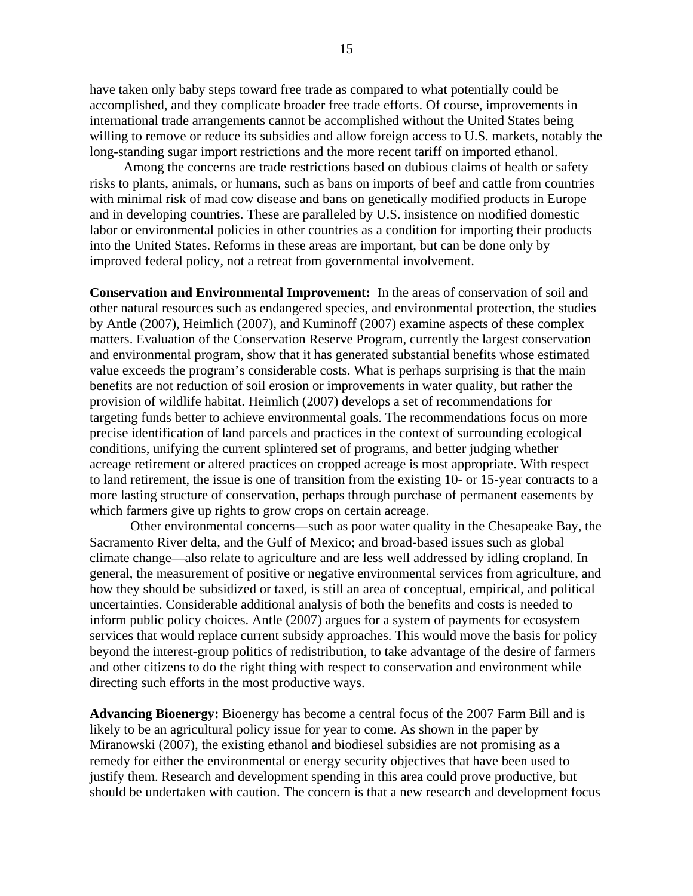have taken only baby steps toward free trade as compared to what potentially could be accomplished, and they complicate broader free trade efforts. Of course, improvements in international trade arrangements cannot be accomplished without the United States being willing to remove or reduce its subsidies and allow foreign access to U.S. markets, notably the long-standing sugar import restrictions and the more recent tariff on imported ethanol.

 Among the concerns are trade restrictions based on dubious claims of health or safety risks to plants, animals, or humans, such as bans on imports of beef and cattle from countries with minimal risk of mad cow disease and bans on genetically modified products in Europe and in developing countries. These are paralleled by U.S. insistence on modified domestic labor or environmental policies in other countries as a condition for importing their products into the United States. Reforms in these areas are important, but can be done only by improved federal policy, not a retreat from governmental involvement.

**Conservation and Environmental Improvement:** In the areas of conservation of soil and other natural resources such as endangered species, and environmental protection, the studies by Antle (2007), Heimlich (2007), and Kuminoff (2007) examine aspects of these complex matters. Evaluation of the Conservation Reserve Program, currently the largest conservation and environmental program, show that it has generated substantial benefits whose estimated value exceeds the program's considerable costs. What is perhaps surprising is that the main benefits are not reduction of soil erosion or improvements in water quality, but rather the provision of wildlife habitat. Heimlich (2007) develops a set of recommendations for targeting funds better to achieve environmental goals. The recommendations focus on more precise identification of land parcels and practices in the context of surrounding ecological conditions, unifying the current splintered set of programs, and better judging whether acreage retirement or altered practices on cropped acreage is most appropriate. With respect to land retirement, the issue is one of transition from the existing 10- or 15-year contracts to a more lasting structure of conservation, perhaps through purchase of permanent easements by which farmers give up rights to grow crops on certain acreage.

Other environmental concerns—such as poor water quality in the Chesapeake Bay, the Sacramento River delta, and the Gulf of Mexico; and broad-based issues such as global climate change—also relate to agriculture and are less well addressed by idling cropland. In general, the measurement of positive or negative environmental services from agriculture, and how they should be subsidized or taxed, is still an area of conceptual, empirical, and political uncertainties. Considerable additional analysis of both the benefits and costs is needed to inform public policy choices. Antle (2007) argues for a system of payments for ecosystem services that would replace current subsidy approaches. This would move the basis for policy beyond the interest-group politics of redistribution, to take advantage of the desire of farmers and other citizens to do the right thing with respect to conservation and environment while directing such efforts in the most productive ways.

**Advancing Bioenergy:** Bioenergy has become a central focus of the 2007 Farm Bill and is likely to be an agricultural policy issue for year to come. As shown in the paper by Miranowski (2007), the existing ethanol and biodiesel subsidies are not promising as a remedy for either the environmental or energy security objectives that have been used to justify them. Research and development spending in this area could prove productive, but should be undertaken with caution. The concern is that a new research and development focus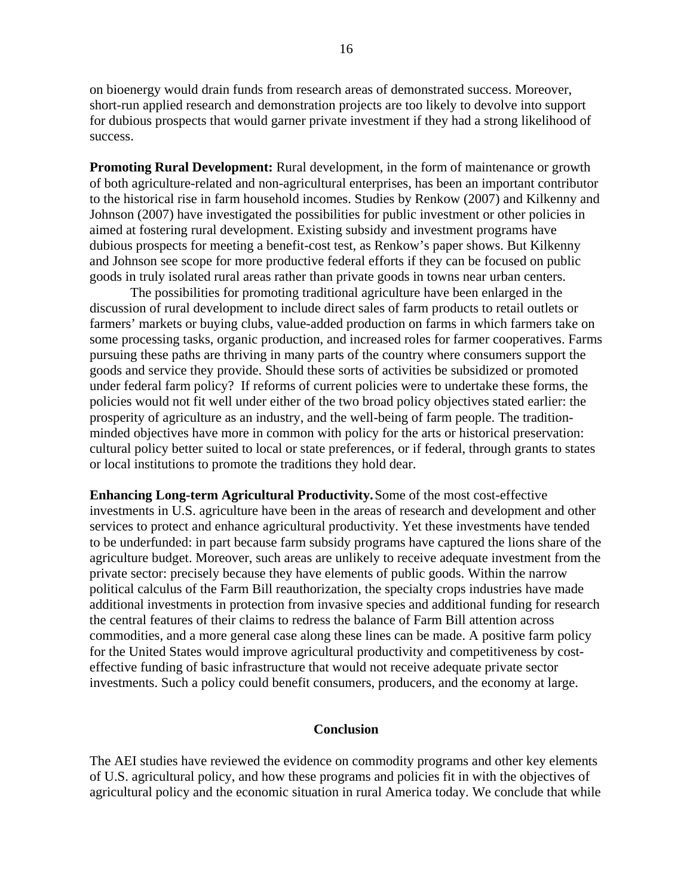on bioenergy would drain funds from research areas of demonstrated success. Moreover, short-run applied research and demonstration projects are too likely to devolve into support for dubious prospects that would garner private investment if they had a strong likelihood of success.

**Promoting Rural Development:** Rural development, in the form of maintenance or growth of both agriculture-related and non-agricultural enterprises, has been an important contributor to the historical rise in farm household incomes. Studies by Renkow (2007) and Kilkenny and Johnson (2007) have investigated the possibilities for public investment or other policies in aimed at fostering rural development. Existing subsidy and investment programs have dubious prospects for meeting a benefit-cost test, as Renkow's paper shows. But Kilkenny and Johnson see scope for more productive federal efforts if they can be focused on public goods in truly isolated rural areas rather than private goods in towns near urban centers.

 The possibilities for promoting traditional agriculture have been enlarged in the discussion of rural development to include direct sales of farm products to retail outlets or farmers' markets or buying clubs, value-added production on farms in which farmers take on some processing tasks, organic production, and increased roles for farmer cooperatives. Farms pursuing these paths are thriving in many parts of the country where consumers support the goods and service they provide. Should these sorts of activities be subsidized or promoted under federal farm policy? If reforms of current policies were to undertake these forms, the policies would not fit well under either of the two broad policy objectives stated earlier: the prosperity of agriculture as an industry, and the well-being of farm people. The traditionminded objectives have more in common with policy for the arts or historical preservation: cultural policy better suited to local or state preferences, or if federal, through grants to states or local institutions to promote the traditions they hold dear.

**Enhancing Long-term Agricultural Productivity.** Some of the most cost-effective investments in U.S. agriculture have been in the areas of research and development and other services to protect and enhance agricultural productivity. Yet these investments have tended to be underfunded: in part because farm subsidy programs have captured the lions share of the agriculture budget. Moreover, such areas are unlikely to receive adequate investment from the private sector: precisely because they have elements of public goods. Within the narrow political calculus of the Farm Bill reauthorization, the specialty crops industries have made additional investments in protection from invasive species and additional funding for research the central features of their claims to redress the balance of Farm Bill attention across commodities, and a more general case along these lines can be made. A positive farm policy for the United States would improve agricultural productivity and competitiveness by costeffective funding of basic infrastructure that would not receive adequate private sector investments. Such a policy could benefit consumers, producers, and the economy at large.

#### **Conclusion**

The AEI studies have reviewed the evidence on commodity programs and other key elements of U.S. agricultural policy, and how these programs and policies fit in with the objectives of agricultural policy and the economic situation in rural America today. We conclude that while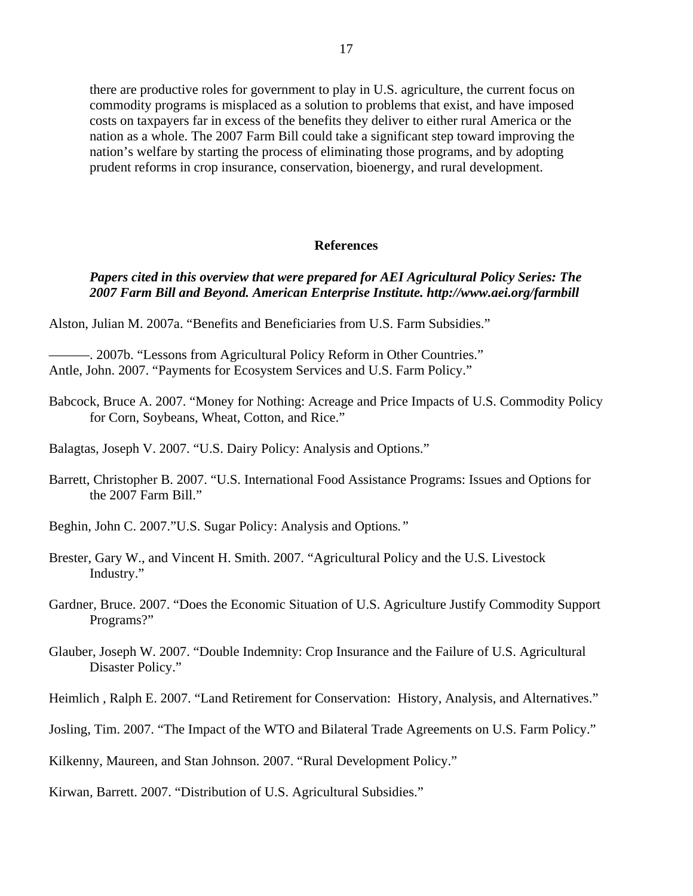there are productive roles for government to play in U.S. agriculture, the current focus on commodity programs is misplaced as a solution to problems that exist, and have imposed costs on taxpayers far in excess of the benefits they deliver to either rural America or the nation as a whole. The 2007 Farm Bill could take a significant step toward improving the nation's welfare by starting the process of eliminating those programs, and by adopting prudent reforms in crop insurance, conservation, bioenergy, and rural development.

#### **References**

## *Papers cited in this overview that were prepared for AEI Agricultural Policy Series: The 2007 Farm Bill and Beyond. American Enterprise Institute. http://www.aei.org/farmbill*

Alston, Julian M. 2007a. "Benefits and Beneficiaries from U.S. Farm Subsidies."

- -. 2007b. "Lessons from Agricultural Policy Reform in Other Countries." Antle, John. 2007. "Payments for Ecosystem Services and U.S. Farm Policy."
- Babcock, Bruce A. 2007. "Money for Nothing: Acreage and Price Impacts of U.S. Commodity Policy for Corn, Soybeans, Wheat, Cotton, and Rice."
- Balagtas*,* Joseph V. 2007. "U.S. Dairy Policy: Analysis and Options."
- Barrett, Christopher B. 2007. "U.S. International Food Assistance Programs: Issues and Options for the 2007 Farm Bill."
- Beghin, John C. 2007."U.S. Sugar Policy: Analysis and Options*."*
- Brester, Gary W., and Vincent H. Smith. 2007. "Agricultural Policy and the U.S. Livestock Industry."
- Gardner, Bruce. 2007. "Does the Economic Situation of U.S. Agriculture Justify Commodity Support Programs?"
- Glauber, Joseph W. 2007. "Double Indemnity: Crop Insurance and the Failure of U.S. Agricultural Disaster Policy."
- Heimlich *,* Ralph E. 2007. "Land Retirement for Conservation: History, Analysis, and Alternatives."
- Josling, Tim. 2007. "The Impact of the WTO and Bilateral Trade Agreements on U.S. Farm Policy."

Kilkenny, Maureen, and Stan Johnson. 2007. "Rural Development Policy."

Kirwan*,* Barrett. 2007. "Distribution of U.S. Agricultural Subsidies."